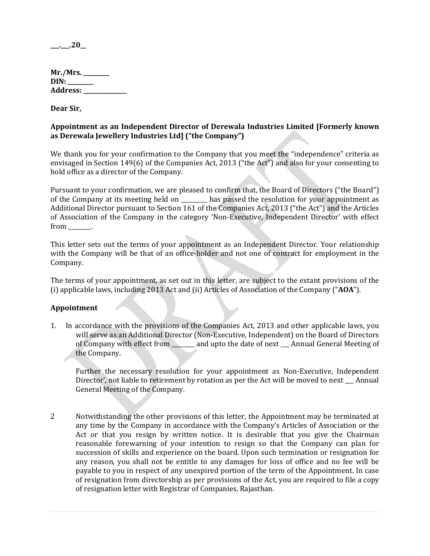$\_\_2\_\_20\_\_$ 

| Mr./Mrs.   |
|------------|
| DIN:       |
| Address: _ |

Dear Sir,

# Appointment as an Independent Director of Derewala Industries Limited [Formerly known as Derewala Jewellery Industries Ltd] ("the Company")

We thank you for your confirmation to the Company that you meet the "independence" criteria as envisaged in Section 149(6) of the Companies Act, 2013 ("the Act") and also for your consenting to hold office as a director of the Company.

Pursuant to your confirmation, we are pleased to confirm that, the Board of Directors ("the Board") of the Company at its meeting held on has passed the resolution for your appointment as Additional Director pursuant to Section 161 of the Companies Act, 2013 ("the Act") and the Articles of Association of the Company in the category 'Non-Executive, Independent Director' with effect from  $\blacksquare$ .

This letter sets out the terms of your appointment as an Independent Director. Your relationship with the Company will be that of an office-holder and not one of contract for employment in the Company.

The terms of your appointment, as set out in this letter, are subject to the extant provisions of the (i) applicable laws, including 2013 Act and (ii) Articles of Association of the Company ("AOA").

# Appointment

1. In accordance with the provisions of the Companies Act, 2013 and other applicable laws, you will serve as an Additional Director (Non-Executive, Independent) on the Board of Directors of Company with effect from \_\_\_\_\_\_\_\_ and upto the date of next \_\_\_ Annual General Meeting of the Company.

Further the necessary resolution for your appointment as Non-Executive, Independent Director', not liable to retirement by rotation as per the Act will be moved to next \_\_\_ Annual General Meeting of the Company.

2 Notwithstanding the other provisions of this letter, the Appointment may be terminated at any time by the Company in accordance with the Company's Articles of Association or the Act or that you resign by written notice. It is desirable that you give the Chairman reasonable forewarning of your intention to resign so that the Company can plan for succession of skills and experience on the board. Upon such termination or resignation for any reason, you shall not be entitle to any damages for loss of office and no fee will be payable to you in respect of any unexpired portion of the term of the Appointment. In case of resignation from directorship as per provisions of the Act, you are required to file a copy of resignation letter with Registrar of Companies, Rajasthan.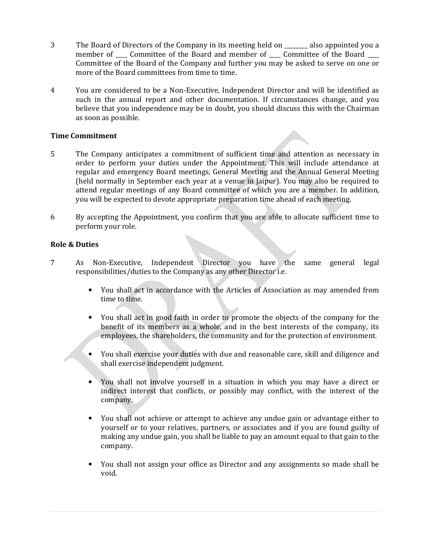- 3 The Board of Directors of the Company in its meeting held on \_\_\_\_\_\_\_\_ also appointed you a member of \_\_\_\_ Committee of the Board and member of \_\_\_\_ Committee of the Board \_\_\_\_ Committee of the Board of the Company and further you may be asked to serve on one or more of the Board committees from time to time.
- 4 You are considered to be a Non-Executive, Independent Director and will be identified as such in the annual report and other documentation. If circumstances change, and you believe that you independence may be in doubt, you should discuss this with the Chairman as soon as possible.

## Time Commitment

- 5 The Company anticipates a commitment of sufficient time and attention as necessary in order to perform your duties under the Appointment. This will include attendance at regular and emergency Board meetings, General Meeting and the Annual General Meeting (held normally in September each year at a venue in Jaipur). You may also be required to attend regular meetings of any Board committee of which you are a member. In addition, you will be expected to devote appropriate preparation time ahead of each meeting.
- 6 By accepting the Appointment, you confirm that you are able to allocate sufficient time to perform your role.

## Role & Duties

- 7 As Non-Executive, Independent Director you have the same general legal responsibilities/duties to the Company as any other Director i.e.
	- You shall act in accordance with the Articles of Association as may amended from time to time.
	- You shall act in good faith in order to promote the objects of the company for the benefit of its members as a whole, and in the best interests of the company, its employees, the shareholders, the community and for the protection of environment.
	- You shall exercise your duties with due and reasonable care, skill and diligence and shall exercise independent judgment.
	- You shall not involve yourself in a situation in which you may have a direct or indirect interest that conflicts, or possibly may conflict, with the interest of the company.
	- You shall not achieve or attempt to achieve any undue gain or advantage either to yourself or to your relatives, partners, or associates and if you are found guilty of making any undue gain, you shall be liable to pay an amount equal to that gain to the company.
	- You shall not assign your office as Director and any assignments so made shall be void.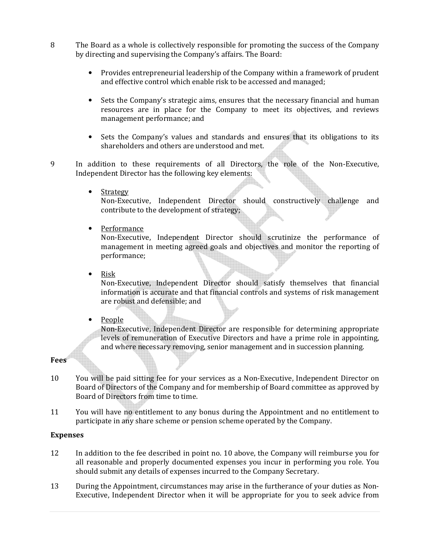- 8 The Board as a whole is collectively responsible for promoting the success of the Company by directing and supervising the Company's affairs. The Board:
	- Provides entrepreneurial leadership of the Company within a framework of prudent and effective control which enable risk to be accessed and managed;
	- Sets the Company's strategic aims, ensures that the necessary financial and human resources are in place for the Company to meet its objectives, and reviews management performance; and
	- Sets the Company's values and standards and ensures that its obligations to its shareholders and others are understood and met.
- 9 In addition to these requirements of all Directors, the role of the Non-Executive, Independent Director has the following key elements:
	- Strategy

Non-Executive, Independent Director should constructively challenge and contribute to the development of strategy;

• Performance

Non-Executive, Independent Director should scrutinize the performance of management in meeting agreed goals and objectives and monitor the reporting of performance;

• Risk

Non-Executive, Independent Director should satisfy themselves that financial information is accurate and that financial controls and systems of risk management are robust and defensible; and

• People

Non-Executive, Independent Director are responsible for determining appropriate levels of remuneration of Executive Directors and have a prime role in appointing, and where necessary removing, senior management and in succession planning.

# Fees

- 10 You will be paid sitting fee for your services as a Non-Executive, Independent Director on Board of Directors of the Company and for membership of Board committee as approved by Board of Directors from time to time.
- 11 You will have no entitlement to any bonus during the Appointment and no entitlement to participate in any share scheme or pension scheme operated by the Company.

### Expenses

- 12 In addition to the fee described in point no. 10 above, the Company will reimburse you for all reasonable and properly documented expenses you incur in performing you role. You should submit any details of expenses incurred to the Company Secretary.
- 13 During the Appointment, circumstances may arise in the furtherance of your duties as Non-Executive, Independent Director when it will be appropriate for you to seek advice from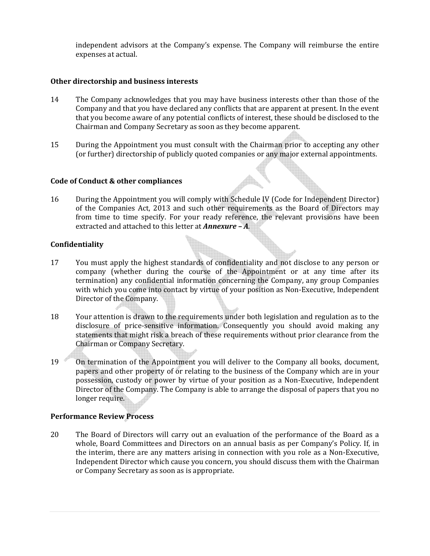independent advisors at the Company's expense. The Company will reimburse the entire expenses at actual.

## Other directorship and business interests

- 14 The Company acknowledges that you may have business interests other than those of the Company and that you have declared any conflicts that are apparent at present. In the event that you become aware of any potential conflicts of interest, these should be disclosed to the Chairman and Company Secretary as soon as they become apparent.
- 15 During the Appointment you must consult with the Chairman prior to accepting any other (or further) directorship of publicly quoted companies or any major external appointments.

### Code of Conduct & other compliances

16 During the Appointment you will comply with Schedule IV (Code for Independent Director) of the Companies Act, 2013 and such other requirements as the Board of Directors may from time to time specify. For your ready reference, the relevant provisions have been extracted and attached to this letter at **Annexure - A**.

## Confidentiality

- 17 You must apply the highest standards of confidentiality and not disclose to any person or company (whether during the course of the Appointment or at any time after its termination) any confidential information concerning the Company, any group Companies with which you come into contact by virtue of your position as Non-Executive, Independent Director of the Company.
- 18 Your attention is drawn to the requirements under both legislation and regulation as to the disclosure of price-sensitive information. Consequently you should avoid making any statements that might risk a breach of these requirements without prior clearance from the Chairman or Company Secretary.
- 19 On termination of the Appointment you will deliver to the Company all books, document, papers and other property of or relating to the business of the Company which are in your possession, custody or power by virtue of your position as a Non-Executive, Independent Director of the Company. The Company is able to arrange the disposal of papers that you no longer require.

# Performance Review Process

20 The Board of Directors will carry out an evaluation of the performance of the Board as a whole, Board Committees and Directors on an annual basis as per Company's Policy. If, in the interim, there are any matters arising in connection with you role as a Non-Executive, Independent Director which cause you concern, you should discuss them with the Chairman or Company Secretary as soon as is appropriate.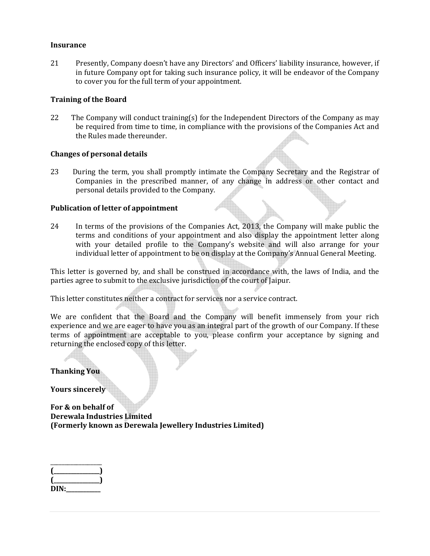#### **Insurance**

21 Presently, Company doesn't have any Directors' and Officers' liability insurance, however, if in future Company opt for taking such insurance policy, it will be endeavor of the Company to cover you for the full term of your appointment.

### Training of the Board

22 The Company will conduct training(s) for the Independent Directors of the Company as may be required from time to time, in compliance with the provisions of the Companies Act and the Rules made thereunder.

#### Changes of personal details

23 During the term, you shall promptly intimate the Company Secretary and the Registrar of Companies in the prescribed manner, of any change in address or other contact and personal details provided to the Company.

#### Publication of letter of appointment

24 In terms of the provisions of the Companies Act, 2013, the Company will make public the terms and conditions of your appointment and also display the appointment letter along with your detailed profile to the Company's website and will also arrange for your individual letter of appointment to be on display at the Company's Annual General Meeting.

This letter is governed by, and shall be construed in accordance with, the laws of India, and the parties agree to submit to the exclusive jurisdiction of the court of Jaipur.

This letter constitutes neither a contract for services nor a service contract.

We are confident that the Board and the Company will benefit immensely from your rich experience and we are eager to have you as an integral part of the growth of our Company. If these terms of appointment are acceptable to you, please confirm your acceptance by signing and returning the enclosed copy of this letter.

Thanking You

Yours sincerely

For & on behalf of Derewala Industries Limited (Formerly known as Derewala Jewellery Industries Limited)

| <b>Contractor</b> |  |
|-------------------|--|
|                   |  |
| DIN:              |  |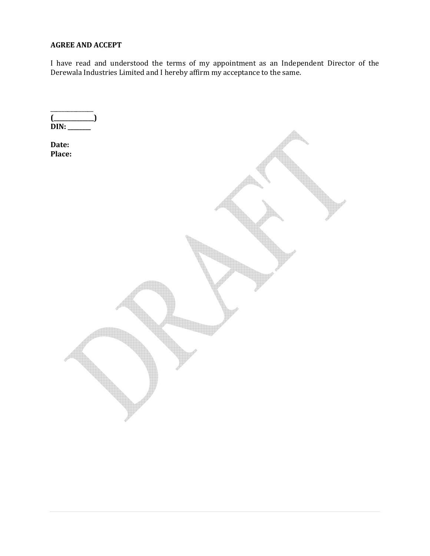# AGREE AND ACCEPT

I have read and understood the terms of my appointment as an Independent Director of the Derewala Industries Limited and I hereby affirm my acceptance to the same.

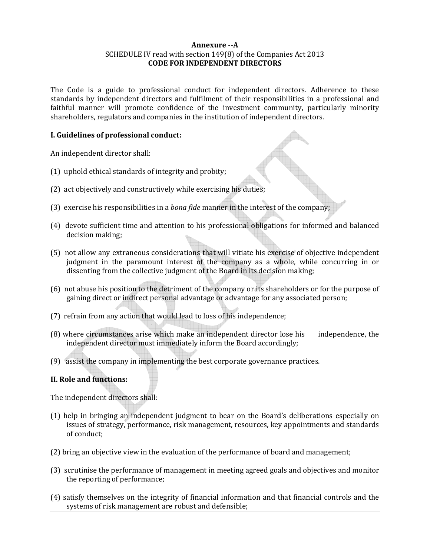### Annexure --A SCHEDULE IV read with section 149(8) of the Companies Act 2013 CODE FOR INDEPENDENT DIRECTORS

The Code is a guide to professional conduct for independent directors. Adherence to these standards by independent directors and fulfilment of their responsibilities in a professional and faithful manner will promote confidence of the investment community, particularly minority shareholders, regulators and companies in the institution of independent directors.

# I. Guidelines of professional conduct:

An independent director shall:

- (1) uphold ethical standards of integrity and probity;
- (2) act objectively and constructively while exercising his duties;
- (3) exercise his responsibilities in a bona fide manner in the interest of the company;
- (4) devote sufficient time and attention to his professional obligations for informed and balanced decision making;
- (5) not allow any extraneous considerations that will vitiate his exercise of objective independent judgment in the paramount interest of the company as a whole, while concurring in or dissenting from the collective judgment of the Board in its decision making;
- (6) not abuse his position to the detriment of the company or its shareholders or for the purpose of gaining direct or indirect personal advantage or advantage for any associated person;
- (7) refrain from any action that would lead to loss of his independence;
- (8) where circumstances arise which make an independent director lose his independence, the independent director must immediately inform the Board accordingly;
- (9) assist the company in implementing the best corporate governance practices.

# II. Role and functions:

The independent directors shall:

- (1) help in bringing an independent judgment to bear on the Board's deliberations especially on issues of strategy, performance, risk management, resources, key appointments and standards of conduct;
- (2) bring an objective view in the evaluation of the performance of board and management;
- (3) scrutinise the performance of management in meeting agreed goals and objectives and monitor the reporting of performance;
- (4) satisfy themselves on the integrity of financial information and that financial controls and the systems of risk management are robust and defensible;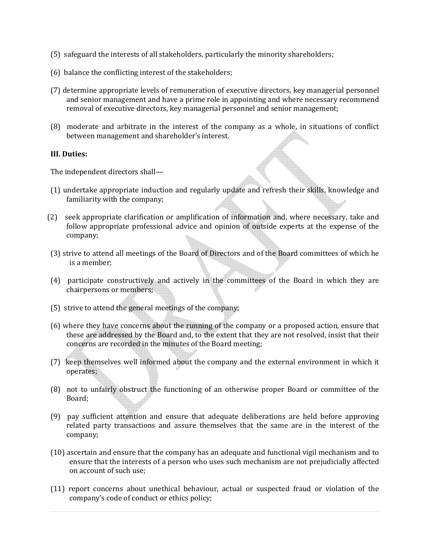- (5) safeguard the interests of all stakeholders, particularly the minority shareholders;
- (6) balance the conflicting interest of the stakeholders;
- (7) determine appropriate levels of remuneration of executive directors, key managerial personnel and senior management and have a prime role in appointing and where necessary recommend removal of executive directors, key managerial personnel and senior management;
- (8) moderate and arbitrate in the interest of the company as a whole, in situations of conflict between management and shareholder's interest.

### III. Duties:

The independent directors shall—

- (1) undertake appropriate induction and regularly update and refresh their skills, knowledge and familiarity with the company;
- (2) seek appropriate clarification or amplification of information and, where necessary, take and follow appropriate professional advice and opinion of outside experts at the expense of the company;
- (3) strive to attend all meetings of the Board of Directors and of the Board committees of which he is a member;
- (4) participate constructively and actively in the committees of the Board in which they are chairpersons or members;
- (5) strive to attend the general meetings of the company;
- (6) where they have concerns about the running of the company or a proposed action, ensure that these are addressed by the Board and, to the extent that they are not resolved, insist that their concerns are recorded in the minutes of the Board meeting;
- (7) keep themselves well informed about the company and the external environment in which it operates;
- (8) not to unfairly obstruct the functioning of an otherwise proper Board or committee of the Board;
- (9) pay sufficient attention and ensure that adequate deliberations are held before approving related party transactions and assure themselves that the same are in the interest of the company;
- (10) ascertain and ensure that the company has an adequate and functional vigil mechanism and to ensure that the interests of a person who uses such mechanism are not prejudicially affected on account of such use;
- (11) report concerns about unethical behaviour, actual or suspected fraud or violation of the company's code of conduct or ethics policy;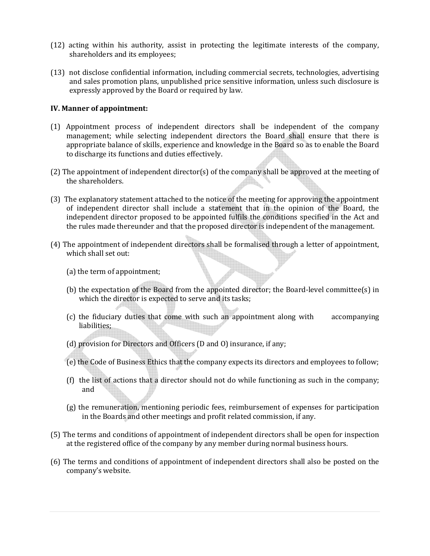- (12) acting within his authority, assist in protecting the legitimate interests of the company, shareholders and its employees;
- (13) not disclose confidential information, including commercial secrets, technologies, advertising and sales promotion plans, unpublished price sensitive information, unless such disclosure is expressly approved by the Board or required by law.

## IV. Manner of appointment:

- (1) Appointment process of independent directors shall be independent of the company management; while selecting independent directors the Board shall ensure that there is appropriate balance of skills, experience and knowledge in the Board so as to enable the Board to discharge its functions and duties effectively.
- (2) The appointment of independent director(s) of the company shall be approved at the meeting of the shareholders.
- (3) The explanatory statement attached to the notice of the meeting for approving the appointment of independent director shall include a statement that in the opinion of the Board, the independent director proposed to be appointed fulfils the conditions specified in the Act and the rules made thereunder and that the proposed director is independent of the management.
- (4) The appointment of independent directors shall be formalised through a letter of appointment, which shall set out:
	- (a) the term of appointment;
	- (b) the expectation of the Board from the appointed director; the Board-level committee(s) in which the director is expected to serve and its tasks;
	- (c) the fiduciary duties that come with such an appointment along with accompanying liabilities;
	- (d) provision for Directors and Officers (D and O) insurance, if any;
	- (e) the Code of Business Ethics that the company expects its directors and employees to follow;
	- (f) the list of actions that a director should not do while functioning as such in the company; and
	- (g) the remuneration, mentioning periodic fees, reimbursement of expenses for participation in the Boards and other meetings and profit related commission, if any.
- (5) The terms and conditions of appointment of independent directors shall be open for inspection at the registered office of the company by any member during normal business hours.
- (6) The terms and conditions of appointment of independent directors shall also be posted on the company's website.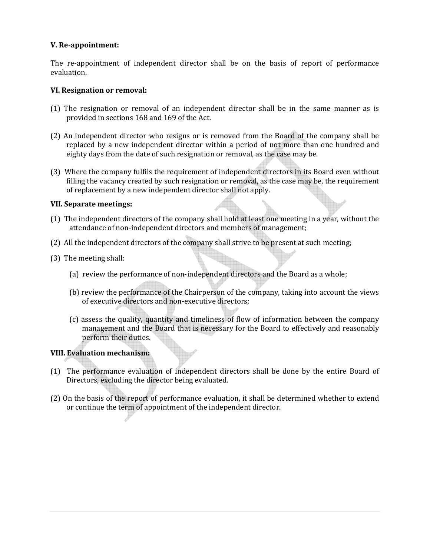## V. Re-appointment:

The re-appointment of independent director shall be on the basis of report of performance evaluation.

### VI. Resignation or removal:

- (1) The resignation or removal of an independent director shall be in the same manner as is provided in sections 168 and 169 of the Act.
- (2) An independent director who resigns or is removed from the Board of the company shall be replaced by a new independent director within a period of not more than one hundred and eighty days from the date of such resignation or removal, as the case may be.
- (3) Where the company fulfils the requirement of independent directors in its Board even without filling the vacancy created by such resignation or removal, as the case may be, the requirement of replacement by a new independent director shall not apply.

### VII. Separate meetings:

- (1) The independent directors of the company shall hold at least one meeting in a year, without the attendance of non-independent directors and members of management;
- (2) All the independent directors of the company shall strive to be present at such meeting;
- (3) The meeting shall:
	- (a) review the performance of non-independent directors and the Board as a whole;
	- (b) review the performance of the Chairperson of the company, taking into account the views of executive directors and non-executive directors;
	- (c) assess the quality, quantity and timeliness of flow of information between the company management and the Board that is necessary for the Board to effectively and reasonably perform their duties.

# VIII. Evaluation mechanism:

- (1) The performance evaluation of independent directors shall be done by the entire Board of Directors, excluding the director being evaluated.
- (2) On the basis of the report of performance evaluation, it shall be determined whether to extend or continue the term of appointment of the independent director.